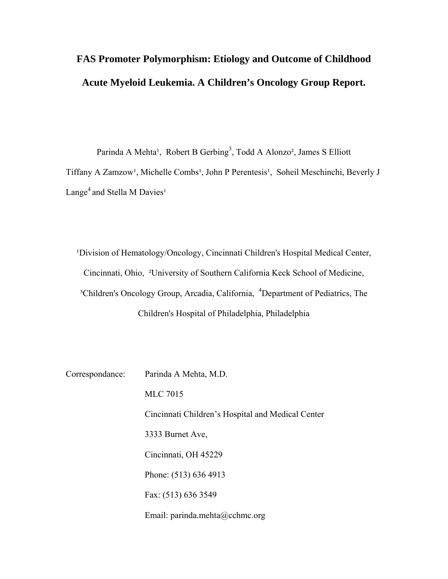# **FAS Promoter Polymorphism: Etiology and Outcome of Childhood Acute Myeloid Leukemia. A Children's Oncology Group Report.**

Parinda A Mehta<sup>1</sup>, Robert B Gerbing<sup>3</sup>, Todd A Alonzo<sup>2</sup>, James S Elliott Tiffany A Zamzow<sup>1</sup>, Michelle Combs<sup>1</sup>, John P Perentesis<sup>1</sup>, Soheil Meschinchi, Beverly J Lange<sup>4</sup> and Stella M Davies<sup>1</sup>

<sup>1</sup>Division of Hematology/Oncology, Cincinnati Children's Hospital Medical Center, Cincinnati, Ohio, ²University of Southern California Keck School of Medicine, <sup>3</sup>Children's Oncology Group, Arcadia, California, <sup>4</sup>Department of Pediatrics, The Children's Hospital of Philadelphia, Philadelphia

Correspondance: Parinda A Mehta, M.D. MLC 7015 Cincinnati Children's Hospital and Medical Center 3333 Burnet Ave, Cincinnati, OH 45229 Phone: (513) 636 4913 Fax: (513) 636 3549 Email: parinda.mehta@cchmc.org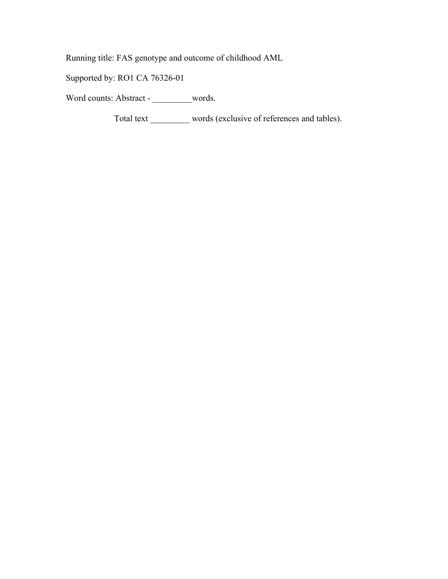Running title: FAS genotype and outcome of childhood AML

Supported by: RO1 CA 76326-01

Word counts: Abstract - \_\_\_\_\_\_\_words.

Total text \_\_\_\_\_\_\_\_\_ words (exclusive of references and tables).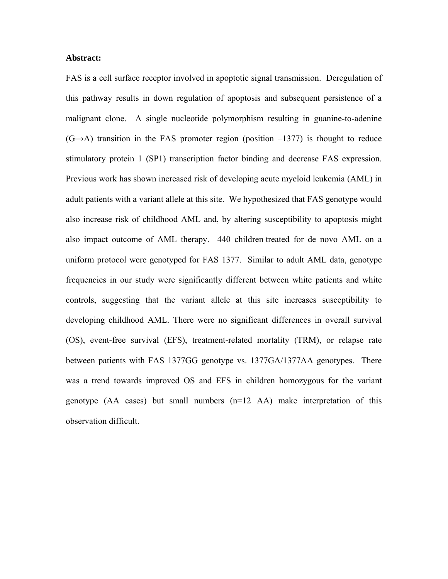#### **Abstract:**

FAS is a cell surface receptor involved in apoptotic signal transmission. Deregulation of this pathway results in down regulation of apoptosis and subsequent persistence of a malignant clone. A single nucleotide polymorphism resulting in guanine-to-adenine  $(G \rightarrow A)$  transition in the FAS promoter region (position  $-1377$ ) is thought to reduce stimulatory protein 1 (SP1) transcription factor binding and decrease FAS expression. Previous work has shown increased risk of developing acute myeloid leukemia (AML) in adult patients with a variant allele at this site. We hypothesized that FAS genotype would also increase risk of childhood AML and, by altering susceptibility to apoptosis might also impact outcome of AML therapy. 440 children treated for de novo AML on a uniform protocol were genotyped for FAS 1377. Similar to adult AML data, genotype frequencies in our study were significantly different between white patients and white controls, suggesting that the variant allele at this site increases susceptibility to developing childhood AML. There were no significant differences in overall survival (OS), event-free survival (EFS), treatment-related mortality (TRM), or relapse rate between patients with FAS 1377GG genotype vs. 1377GA/1377AA genotypes. There was a trend towards improved OS and EFS in children homozygous for the variant genotype (AA cases) but small numbers (n=12 AA) make interpretation of this observation difficult.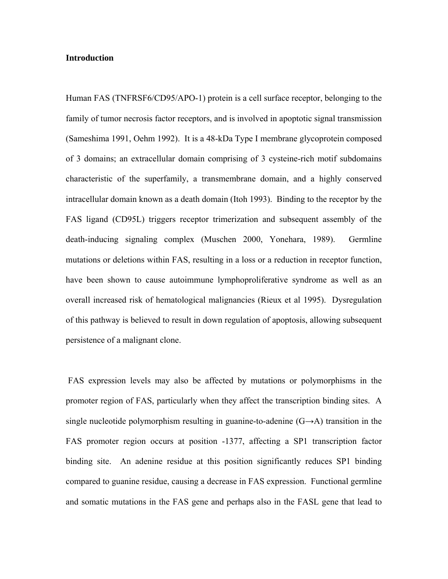#### **Introduction**

Human FAS (TNFRSF6/CD95/APO-1) protein is a cell surface receptor, belonging to the family of tumor necrosis factor receptors, and is involved in apoptotic signal transmission (Sameshima 1991, Oehm 1992). It is a 48-kDa Type I membrane glycoprotein composed of 3 domains; an extracellular domain comprising of 3 cysteine-rich motif subdomains characteristic of the superfamily, a transmembrane domain, and a highly conserved intracellular domain known as a death domain (Itoh 1993). Binding to the receptor by the FAS ligand (CD95L) triggers receptor trimerization and subsequent assembly of the death-inducing signaling complex (Muschen 2000, Yonehara, 1989). Germline mutations or deletions within FAS, resulting in a loss or a reduction in receptor function, have been shown to cause autoimmune lymphoproliferative syndrome as well as an overall increased risk of hematological malignancies (Rieux et al 1995). Dysregulation of this pathway is believed to result in down regulation of apoptosis, allowing subsequent persistence of a malignant clone.

 FAS expression levels may also be affected by mutations or polymorphisms in the promoter region of FAS, particularly when they affect the transcription binding sites. A single nucleotide polymorphism resulting in guanine-to-adenine  $(G\rightarrow A)$  transition in the FAS promoter region occurs at position -1377, affecting a SP1 transcription factor binding site. An adenine residue at this position significantly reduces SP1 binding compared to guanine residue, causing a decrease in FAS expression. Functional germline and somatic mutations in the FAS gene and perhaps also in the FASL gene that lead to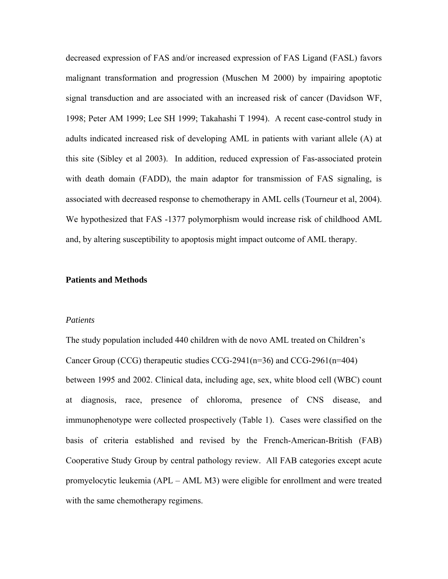decreased expression of FAS and/or increased expression of FAS Ligand (FASL) favors malignant transformation and progression (Muschen M 2000) by impairing apoptotic signal transduction and are associated with an increased risk of cancer (Davidson WF, 1998; Peter AM 1999; Lee SH 1999; Takahashi T 1994).A recent case-control study in adults indicated increased risk of developing AML in patients with variant allele (A) at this site (Sibley et al 2003). In addition, reduced expression of Fas-associated protein with death domain (FADD), the main adaptor for transmission of FAS signaling, is associated with decreased response to chemotherapy in AML cells (Tourneur et al, 2004). We hypothesized that FAS -1377 polymorphism would increase risk of childhood AML and, by altering susceptibility to apoptosis might impact outcome of AML therapy.

#### **Patients and Methods**

#### *Patients*

The study population included 440 children with de novo AML treated on Children's Cancer Group (CCG) therapeutic studies CCG-2941(n=36) and CCG-2961(n=404) between 1995 and 2002. Clinical data, including age, sex, white blood cell (WBC) count at diagnosis, race, presence of chloroma, presence of CNS disease, and immunophenotype were collected prospectively (Table 1). Cases were classified on the basis of criteria established and revised by the French-American-British (FAB) Cooperative Study Group by central pathology review. All FAB categories except acute promyelocytic leukemia (APL – AML M3) were eligible for enrollment and were treated with the same chemotherapy regimens.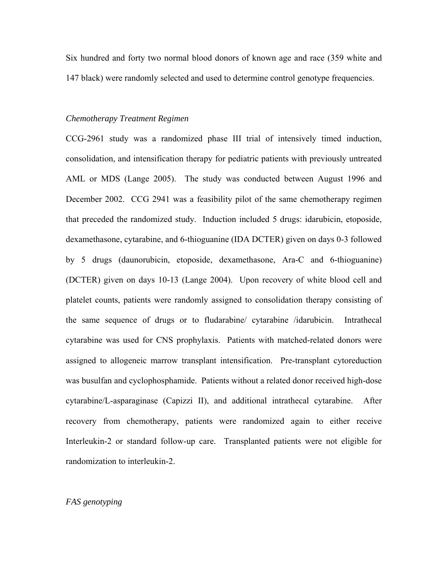Six hundred and forty two normal blood donors of known age and race (359 white and 147 black) were randomly selected and used to determine control genotype frequencies.

#### *Chemotherapy Treatment Regimen*

CCG-2961 study was a randomized phase III trial of intensively timed induction, consolidation, and intensification therapy for pediatric patients with previously untreated AML or MDS (Lange 2005). The study was conducted between August 1996 and December 2002. CCG 2941 was a feasibility pilot of the same chemotherapy regimen that preceded the randomized study. Induction included 5 drugs: idarubicin, etoposide, dexamethasone, cytarabine, and 6-thioguanine (IDA DCTER) given on days 0-3 followed by 5 drugs (daunorubicin, etoposide, dexamethasone, Ara-C and 6-thioguanine) (DCTER) given on days 10-13 (Lange 2004). Upon recovery of white blood cell and platelet counts, patients were randomly assigned to consolidation therapy consisting of the same sequence of drugs or to fludarabine/ cytarabine /idarubicin. Intrathecal cytarabine was used for CNS prophylaxis. Patients with matched-related donors were assigned to allogeneic marrow transplant intensification. Pre-transplant cytoreduction was busulfan and cyclophosphamide. Patients without a related donor received high-dose cytarabine/L-asparaginase (Capizzi II), and additional intrathecal cytarabine. After recovery from chemotherapy, patients were randomized again to either receive Interleukin-2 or standard follow-up care. Transplanted patients were not eligible for randomization to interleukin-2.

#### *FAS genotyping*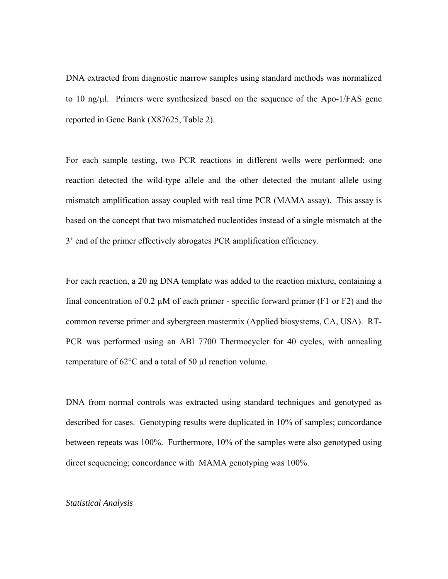DNA extracted from diagnostic marrow samples using standard methods was normalized to 10 ng/μl. Primers were synthesized based on the sequence of the Apo-1/FAS gene reported in Gene Bank (X87625, Table 2).

For each sample testing, two PCR reactions in different wells were performed; one reaction detected the wild-type allele and the other detected the mutant allele using mismatch amplification assay coupled with real time PCR (MAMA assay). This assay is based on the concept that two mismatched nucleotides instead of a single mismatch at the 3' end of the primer effectively abrogates PCR amplification efficiency.

For each reaction, a 20 ng DNA template was added to the reaction mixture, containing a final concentration of 0.2  $\mu$ M of each primer - specific forward primer (F1 or F2) and the common reverse primer and sybergreen mastermix (Applied biosystems, CA, USA). RT-PCR was performed using an ABI 7700 Thermocycler for 40 cycles, with annealing temperature of  $62^{\circ}$ C and a total of 50  $\mu$ l reaction volume.

DNA from normal controls was extracted using standard techniques and genotyped as described for cases. Genotyping results were duplicated in 10% of samples; concordance between repeats was 100%. Furthermore, 10% of the samples were also genotyped using direct sequencing; concordance with MAMA genotyping was 100%.

#### *Statistical Analysis*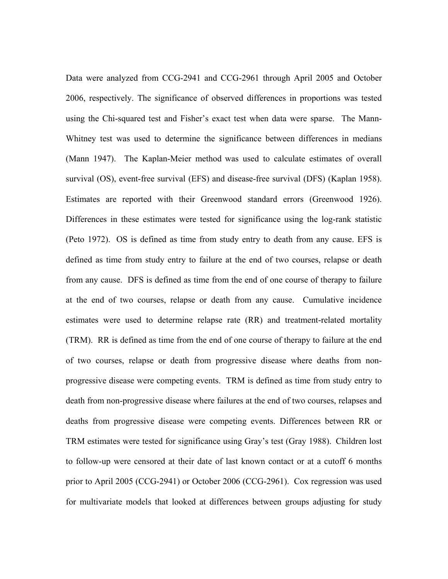Data were analyzed from CCG-2941 and CCG-2961 through April 2005 and October 2006, respectively. The significance of observed differences in proportions was tested using the Chi-squared test and Fisher's exact test when data were sparse. The Mann-Whitney test was used to determine the significance between differences in medians (Mann 1947). The Kaplan-Meier method was used to calculate estimates of overall survival (OS), event-free survival (EFS) and disease-free survival (DFS) (Kaplan 1958). Estimates are reported with their Greenwood standard errors (Greenwood 1926). Differences in these estimates were tested for significance using the log-rank statistic (Peto 1972). OS is defined as time from study entry to death from any cause. EFS is defined as time from study entry to failure at the end of two courses, relapse or death from any cause. DFS is defined as time from the end of one course of therapy to failure at the end of two courses, relapse or death from any cause. Cumulative incidence estimates were used to determine relapse rate (RR) and treatment-related mortality (TRM). RR is defined as time from the end of one course of therapy to failure at the end of two courses, relapse or death from progressive disease where deaths from nonprogressive disease were competing events. TRM is defined as time from study entry to death from non-progressive disease where failures at the end of two courses, relapses and deaths from progressive disease were competing events. Differences between RR or TRM estimates were tested for significance using Gray's test (Gray 1988). Children lost to follow-up were censored at their date of last known contact or at a cutoff 6 months prior to April 2005 (CCG-2941) or October 2006 (CCG-2961). Cox regression was used for multivariate models that looked at differences between groups adjusting for study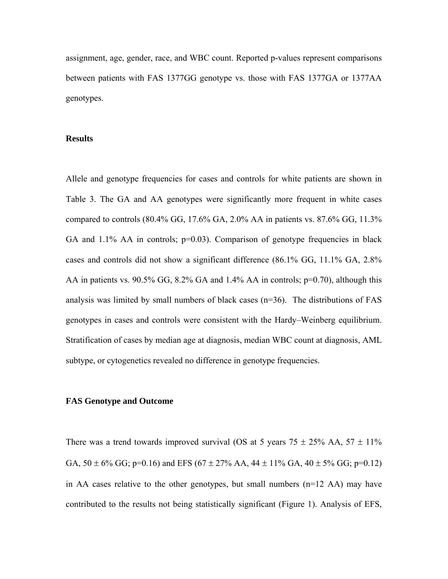assignment, age, gender, race, and WBC count. Reported p-values represent comparisons between patients with FAS 1377GG genotype vs. those with FAS 1377GA or 1377AA genotypes.

#### **Results**

Allele and genotype frequencies for cases and controls for white patients are shown in Table 3. The GA and AA genotypes were significantly more frequent in white cases compared to controls (80.4% GG, 17.6% GA, 2.0% AA in patients vs. 87.6% GG, 11.3% GA and  $1.1\%$  AA in controls;  $p=0.03$ ). Comparison of genotype frequencies in black cases and controls did not show a significant difference (86.1% GG, 11.1% GA, 2.8% AA in patients vs. 90.5% GG, 8.2% GA and 1.4% AA in controls; p=0.70), although this analysis was limited by small numbers of black cases (n=36). The distributions of FAS genotypes in cases and controls were consistent with the Hardy–Weinberg equilibrium. Stratification of cases by median age at diagnosis, median WBC count at diagnosis, AML subtype, or cytogenetics revealed no difference in genotype frequencies.

#### **FAS Genotype and Outcome**

There was a trend towards improved survival (OS at 5 years  $75 \pm 25\%$  AA,  $57 \pm 11\%$ GA,  $50 \pm 6\%$  GG; p=0.16) and EFS (67  $\pm$  27% AA, 44  $\pm$  11% GA, 40  $\pm$  5% GG; p=0.12) in AA cases relative to the other genotypes, but small numbers (n=12 AA) may have contributed to the results not being statistically significant (Figure 1). Analysis of EFS,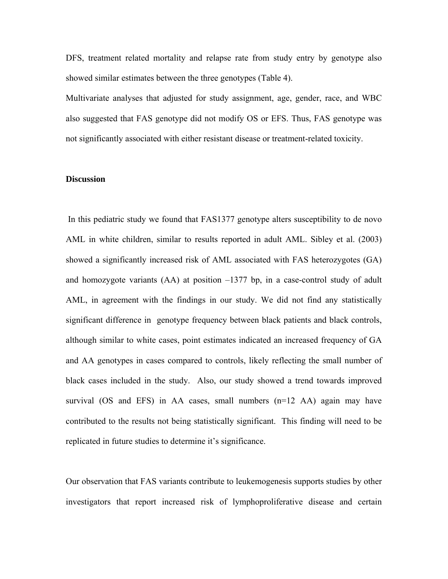DFS, treatment related mortality and relapse rate from study entry by genotype also showed similar estimates between the three genotypes (Table 4).

Multivariate analyses that adjusted for study assignment, age, gender, race, and WBC also suggested that FAS genotype did not modify OS or EFS. Thus, FAS genotype was not significantly associated with either resistant disease or treatment-related toxicity.

### **Discussion**

 In this pediatric study we found that FAS1377 genotype alters susceptibility to de novo AML in white children, similar to results reported in adult AML. Sibley et al. (2003) showed a significantly increased risk of AML associated with FAS heterozygotes (GA) and homozygote variants  $(AA)$  at position  $-1377$  bp, in a case-control study of adult AML, in agreement with the findings in our study. We did not find any statistically significant difference in genotype frequency between black patients and black controls, although similar to white cases, point estimates indicated an increased frequency of GA and AA genotypes in cases compared to controls, likely reflecting the small number of black cases included in the study. Also, our study showed a trend towards improved survival (OS and EFS) in AA cases, small numbers  $(n=12 \text{ AA})$  again may have contributed to the results not being statistically significant. This finding will need to be replicated in future studies to determine it's significance.

Our observation that FAS variants contribute to leukemogenesis supports studies by other investigators that report increased risk of lymphoproliferative disease and certain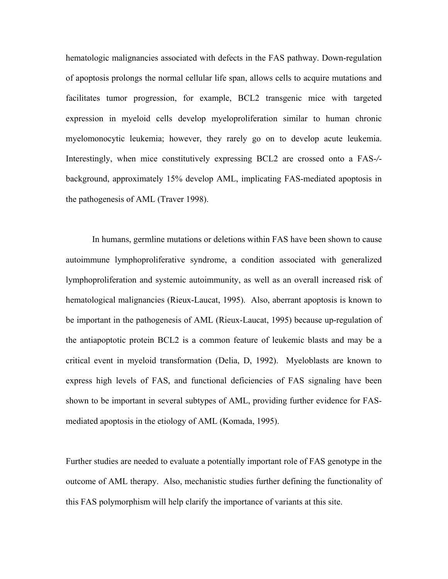hematologic malignancies associated with defects in the FAS pathway. Down-regulation of apoptosis prolongs the normal cellular life span, allows cells to acquire mutations and facilitates tumor progression, for example, BCL2 transgenic mice with targeted expression in myeloid cells develop myeloproliferation similar to human chronic myelomonocytic leukemia; however, they rarely go on to develop acute leukemia. Interestingly, when mice constitutively expressing BCL2 are crossed onto a FAS-*/* background, approximately 15% develop AML, implicating FAS-mediated apoptosis in the pathogenesis of AML (Traver 1998).

In humans, germline mutations or deletions within FAS have been shown to cause autoimmune lymphoproliferative syndrome, a condition associated with generalized lymphoproliferation and systemic autoimmunity, as well as an overall increased risk of hematological malignancies (Rieux-Laucat, 1995). Also, aberrant apoptosis is known to be important in the pathogenesis of AML (Rieux-Laucat, 1995) because up-regulation of the antiapoptotic protein BCL2 is a common feature of leukemic blasts and may be a critical event in myeloid transformation (Delia, D, 1992). Myeloblasts are known to express high levels of FAS, and functional deficiencies of FAS signaling have been shown to be important in several subtypes of AML, providing further evidence for FASmediated apoptosis in the etiology of AML (Komada, 1995).

Further studies are needed to evaluate a potentially important role of FAS genotype in the outcome of AML therapy. Also, mechanistic studies further defining the functionality of this FAS polymorphism will help clarify the importance of variants at this site.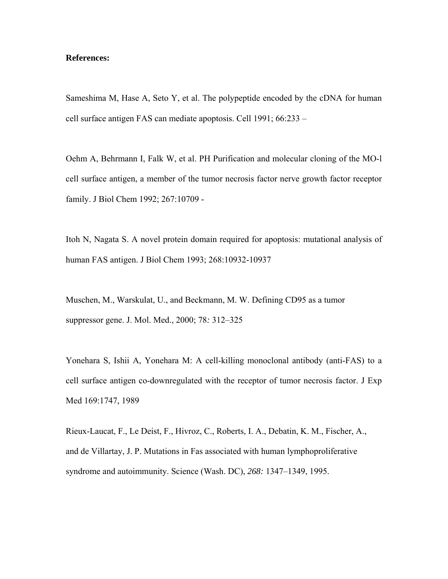#### **References:**

Sameshima M, Hase A, Seto Y, et al. The polypeptide encoded by the cDNA for human cell surface antigen FAS can mediate apoptosis. Cell 1991; 66:233 –

Oehm A, Behrmann I, Falk W, et al. PH Purification and molecular cloning of the MO-l cell surface antigen, a member of the tumor necrosis factor nerve growth factor receptor family. J Biol Chem 1992; 267:10709 -

Itoh N, Nagata S. A novel protein domain required for apoptosis: mutational analysis of human FAS antigen. J Biol Chem 1993; 268:10932-10937

Muschen, M., Warskulat, U., and Beckmann, M. W. Defining CD95 as a tumor suppressor gene. J. Mol. Med., 2000; 78*:* 312–325

Yonehara S, Ishii A, Yonehara M: A cell-killing monoclonal antibody (anti-FAS) to a cell surface antigen co-downregulated with the receptor of tumor necrosis factor. J Exp Med 169:1747, 1989

Rieux-Laucat, F., Le Deist, F., Hivroz, C., Roberts, I. A., Debatin, K. M., Fischer, A., and de Villartay, J. P. Mutations in Fas associated with human lymphoproliferative syndrome and autoimmunity. Science (Wash. DC), *268:* 1347–1349, 1995.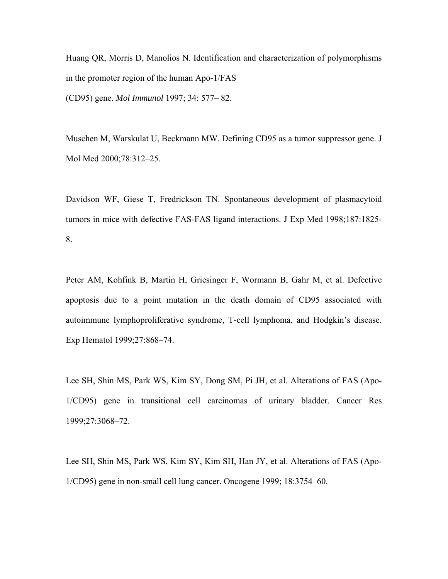Huang QR, Morris D, Manolios N. Identification and characterization of polymorphisms in the promoter region of the human Apo-1/FAS (CD95) gene. *Mol Immunol* 1997; 34: 577– 82.

Muschen M, Warskulat U, Beckmann MW. Defining CD95 as a tumor suppressor gene. J Mol Med 2000;78:312–25.

Davidson WF, Giese T, Fredrickson TN. Spontaneous development of plasmacytoid tumors in mice with defective FAS-FAS ligand interactions. J Exp Med 1998;187:1825- 8.

Peter AM, Kohfink B, Martin H, Griesinger F, Wormann B, Gahr M, et al. Defective apoptosis due to a point mutation in the death domain of CD95 associated with autoimmune lymphoproliferative syndrome, T-cell lymphoma, and Hodgkin's disease. Exp Hematol 1999;27:868–74.

Lee SH, Shin MS, Park WS, Kim SY, Dong SM, Pi JH, et al. Alterations of FAS (Apo-1/CD95) gene in transitional cell carcinomas of urinary bladder. Cancer Res 1999;27:3068–72.

Lee SH, Shin MS, Park WS, Kim SY, Kim SH, Han JY, et al. Alterations of FAS (Apo-1/CD95) gene in non-small cell lung cancer. Oncogene 1999; 18:3754–60.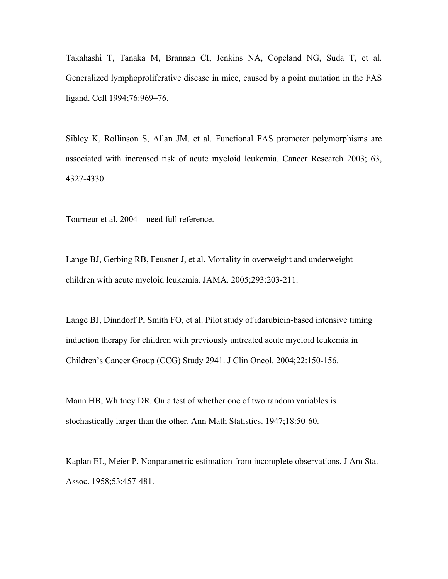Takahashi T, Tanaka M, Brannan CI, Jenkins NA, Copeland NG, Suda T, et al. Generalized lymphoproliferative disease in mice, caused by a point mutation in the FAS ligand. Cell 1994;76:969–76.

Sibley K, Rollinson S, Allan JM, et al. Functional FAS promoter polymorphisms are associated with increased risk of acute myeloid leukemia. Cancer Research 2003; 63, 4327-4330.

Tourneur et al, 2004 – need full reference.

Lange BJ, Gerbing RB, Feusner J, et al. Mortality in overweight and underweight children with acute myeloid leukemia. JAMA. 2005;293:203-211.

Lange BJ, Dinndorf P, Smith FO, et al. Pilot study of idarubicin-based intensive timing induction therapy for children with previously untreated acute myeloid leukemia in Children's Cancer Group (CCG) Study 2941. J Clin Oncol. 2004;22:150-156.

Mann HB, Whitney DR. On a test of whether one of two random variables is stochastically larger than the other. Ann Math Statistics. 1947;18:50-60.

Kaplan EL, Meier P. Nonparametric estimation from incomplete observations. J Am Stat Assoc. 1958;53:457-481.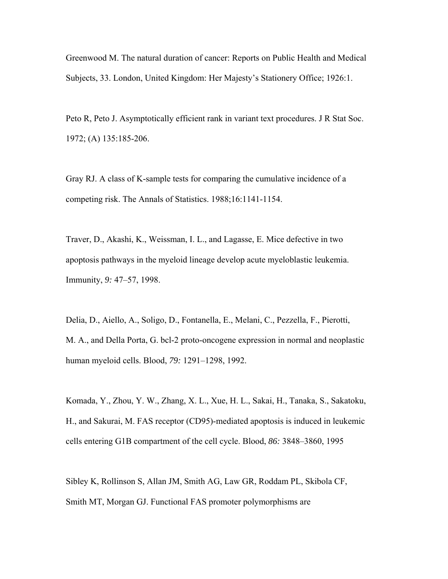Greenwood M. The natural duration of cancer: Reports on Public Health and Medical Subjects, 33. London, United Kingdom: Her Majesty's Stationery Office; 1926:1.

Peto R, Peto J. Asymptotically efficient rank in variant text procedures. J R Stat Soc. 1972; (A) 135:185-206.

Gray RJ. A class of K-sample tests for comparing the cumulative incidence of a competing risk. The Annals of Statistics. 1988;16:1141-1154.

Traver, D., Akashi, K., Weissman, I. L., and Lagasse, E. Mice defective in two apoptosis pathways in the myeloid lineage develop acute myeloblastic leukemia. Immunity, *9:* 47–57, 1998.

Delia, D., Aiello, A., Soligo, D., Fontanella, E., Melani, C., Pezzella, F., Pierotti, M. A., and Della Porta, G. bcl-2 proto-oncogene expression in normal and neoplastic human myeloid cells. Blood, *79:* 1291–1298, 1992.

Komada, Y., Zhou, Y. W., Zhang, X. L., Xue, H. L., Sakai, H., Tanaka, S., Sakatoku, H., and Sakurai, M. FAS receptor (CD95)-mediated apoptosis is induced in leukemic cells entering G1B compartment of the cell cycle. Blood, *86:* 3848–3860, 1995

Sibley K, Rollinson S, Allan JM, Smith AG, Law GR, Roddam PL, Skibola CF, Smith MT, Morgan GJ. Functional FAS promoter polymorphisms are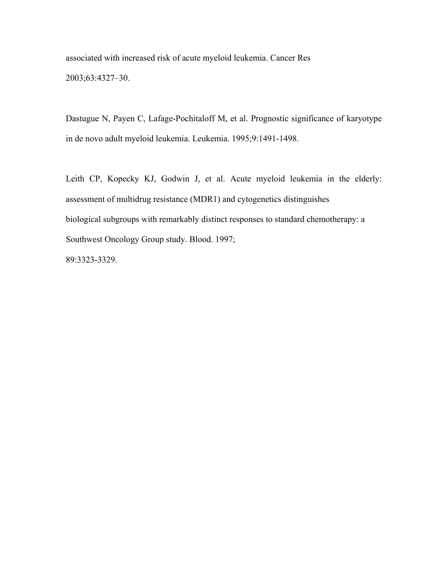associated with increased risk of acute myeloid leukemia. Cancer Res 2003;63:4327–30.

Dastugue N, Payen C, Lafage-Pochitaloff M, et al. Prognostic significance of karyotype in de novo adult myeloid leukemia. Leukemia. 1995;9:1491-1498.

Leith CP, Kopecky KJ, Godwin J, et al. Acute myeloid leukemia in the elderly: assessment of multidrug resistance (MDR1) and cytogenetics distinguishes biological subgroups with remarkably distinct responses to standard chemotherapy: a Southwest Oncology Group study. Blood. 1997;

89:3323-3329.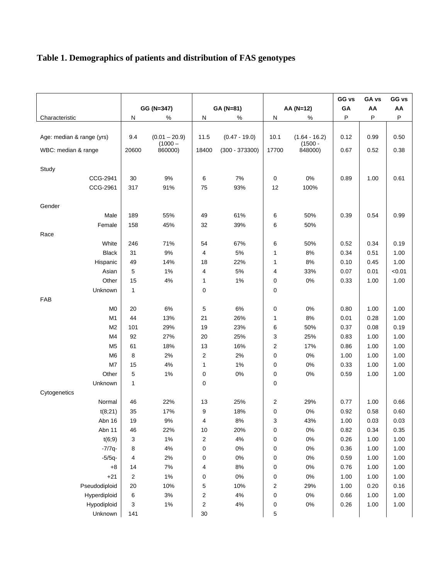## **Table 1. Demographics of patients and distribution of FAS genotypes**

|                           |              | GG (N=347)                   | GA (N=81)               |                  | AA (N=12) |                              | GG vs<br>GA | GA vs<br>AA | GG vs<br>AA |
|---------------------------|--------------|------------------------------|-------------------------|------------------|-----------|------------------------------|-------------|-------------|-------------|
| Characteristic            | Ν            | %                            | N<br>%                  |                  | N<br>$\%$ |                              | P           | P           | P           |
|                           |              |                              |                         |                  |           |                              |             |             |             |
| Age: median & range (yrs) | 9.4          | $(0.01 - 20.9)$<br>$(1000 -$ | 11.5                    | $(0.47 - 19.0)$  | 10.1      | $(1.64 - 16.2)$<br>$(1500 -$ | 0.12        | 0.99        | 0.50        |
| WBC: median & range       | 20600        | 860000)                      | 18400                   | $(300 - 373300)$ | 17700     | 848000)                      | 0.67        | 0.52        | 0.38        |
|                           |              |                              |                         |                  |           |                              |             |             |             |
| Study                     |              |                              |                         |                  |           |                              |             |             |             |
| CCG-2941                  | 30           | 9%                           | 6                       | 7%               | 0         | $0\%$                        | 0.89        | 1.00        | 0.61        |
| CCG-2961                  | 317          | 91%                          | 75                      | 93%              | 12        | 100%                         |             |             |             |
|                           |              |                              |                         |                  |           |                              |             |             |             |
| Gender                    |              |                              |                         |                  |           |                              |             |             |             |
| Male                      | 189          | 55%                          | 49                      | 61%              | 6         | 50%                          | 0.39        | 0.54        | 0.99        |
| Female                    | 158          | 45%                          | 32                      | 39%              | 6         | 50%                          |             |             |             |
| Race                      |              |                              |                         |                  |           |                              |             |             |             |
| White                     | 246          | 71%                          | 54                      | 67%              | 6         | 50%                          | 0.52        | 0.34        | 0.19        |
| <b>Black</b>              | 31           | $9\%$                        | $\overline{4}$          | 5%               | 1         | 8%                           | 0.34        | 0.51        | 1.00        |
| Hispanic                  | 49           | 14%                          | 18                      | 22%              | 1         | 8%                           | 0.10        | 0.45        | 1.00        |
| Asian                     | 5            | 1%                           | 4                       | 5%               | 4         | 33%                          | 0.07        | 0.01        | < 0.01      |
| Other                     | 15           | 4%                           | 1                       | $1\%$            | 0         | $0\%$                        | 0.33        | 1.00        | 1.00        |
| Unknown                   | $\mathbf{1}$ |                              | 0                       |                  | 0         |                              |             |             |             |
| <b>FAB</b>                |              |                              |                         |                  |           |                              |             |             |             |
| M <sub>0</sub>            | 20           | 6%                           | 5                       | $6\%$            | 0         | 0%                           | 0.80        | 1.00        | 1.00        |
| M1                        | 44           | 13%                          | 21                      | 26%              | 1         | 8%                           | 0.01        | 0.28        | 1.00        |
| M <sub>2</sub>            | 101          | 29%                          | 19                      | 23%              | 6         | 50%                          | 0.37        | 0.08        | 0.19        |
| M4                        | 92           | 27%                          | 20                      | 25%              | 3         | 25%                          | 0.83        | 1.00        | 1.00        |
| M <sub>5</sub>            | 61           | 18%                          | 13                      | 16%              | 2         | 17%                          | 0.86        | 1.00        | 1.00        |
| M6                        | 8            | 2%                           | 2                       | 2%               | 0         | 0%                           | 1.00        | 1.00        | 1.00        |
| M7                        | 15           | 4%                           | 1                       | $1\%$            | 0         | 0%                           | 0.33        | 1.00        | 1.00        |
| Other                     | 5            | 1%                           | $\mathbf 0$             | $0\%$            | 0         | 0%                           | 0.59        | 1.00        | 1.00        |
| Unknown                   | $\mathbf{1}$ |                              | $\mathbf 0$             |                  | 0         |                              |             |             |             |
| Cytogenetics              |              |                              |                         |                  |           |                              |             |             |             |
| Normal                    | 46           | 22%                          | 13                      | 25%              | 2         | 29%                          | 0.77        | 1.00        | 0.66        |
| t(8;21)                   | 35           | 17%                          | 9                       | 18%              | 0         | $0\%$                        | 0.92        | 0.58        | 0.60        |
| Abn 16                    | 19           | 9%                           | 4                       | 8%               | 3         | 43%                          | 1.00        | 0.03        | 0.03        |
| Abn 11                    | 46           | 22%                          | 10                      | 20%              | 0         | $0\%$                        | 0.82        | 0.34        | 0.35        |
| t(6;9)                    | 3            | 1%                           | $\overline{\mathbf{c}}$ | 4%               | 0         | $0\%$                        | 0.26        | 1.00        | 1.00        |
| $-7/7q-$                  | 8            | 4%                           | 0                       | $0\%$            | 0         | $0\%$                        | 0.36        | 1.00        | 1.00        |
| $-5/5q-$                  | 4            | 2%                           | 0                       | $0\%$            | 0         | $0\%$                        | 0.59        | 1.00        | 1.00        |
| $+8$                      | 14           | 7%                           | 4                       | $8\%$            | 0         | $0\%$                        | 0.76        | 1.00        | 1.00        |
| $+21$                     | $\mathbf 2$  | 1%                           | 0                       | $0\%$            | 0         | $0\%$                        | 1.00        | 1.00        | 1.00        |
| Pseudodiploid             | 20           | 10%                          | 5                       | 10%              | 2         | 29%                          | 1.00        | 0.20        | 0.16        |
| Hyperdiploid              | 6            | $3%$                         | 2                       | $4\%$            | 0         | $0\%$                        | 0.66        | 1.00        | 1.00        |
| Hypodiploid               | 3            | 1%                           | 2                       | $4\%$            | 0         | $0\%$                        | 0.26        | 1.00        | 1.00        |
| Unknown                   | 141          |                              | $30\,$                  |                  | 5         |                              |             |             |             |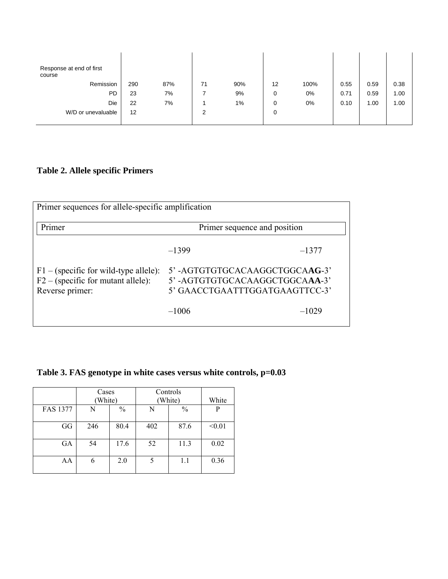| Response at end of first<br>course |     |     |                |     |    |       |      |      |      |
|------------------------------------|-----|-----|----------------|-----|----|-------|------|------|------|
| Remission                          | 290 | 87% | 71             | 90% | 12 | 100%  | 0.55 | 0.59 | 0.38 |
| <b>PD</b>                          | 23  | 7%  |                | 9%  | 0  | 0%    | 0.71 | 0.59 | 1.00 |
| Die                                | 22  | 7%  |                | 1%  | 0  | $0\%$ | 0.10 | 1.00 | 1.00 |
| W/D or unevaluable                 | 12  |     | $\overline{2}$ |     | 0  |       |      |      |      |
|                                    |     |     |                |     |    |       |      |      |      |

## **Table 2. Allele specific Primers**

| Primer sequences for allele-specific amplification                                                 |                                                                                                  |         |  |  |  |  |  |
|----------------------------------------------------------------------------------------------------|--------------------------------------------------------------------------------------------------|---------|--|--|--|--|--|
| Primer                                                                                             | Primer sequence and position                                                                     |         |  |  |  |  |  |
|                                                                                                    | $-1399$                                                                                          | $-1377$ |  |  |  |  |  |
| $F1 -$ (specific for wild-type allele):<br>$F2 -$ (specific for mutant allele):<br>Reverse primer: | 5'-AGTGTGTGCACAAGGCTGGCAAG-3'<br>5'-AGTGTGTGCACAAGGCTGGCAAA-3'<br>5' GAACCTGAATTTGGATGAAGTTCC-3' |         |  |  |  |  |  |
|                                                                                                    | $-1006$                                                                                          | $-1029$ |  |  |  |  |  |

## **Table 3. FAS genotype in white cases versus white controls, p=0.03**

|                 | Cases<br>(White) |               | Controls<br>(White) | White         |        |
|-----------------|------------------|---------------|---------------------|---------------|--------|
| <b>FAS 1377</b> | N                | $\frac{0}{0}$ | N                   | $\frac{0}{0}$ | P      |
| GG              | 246              | 80.4          | 402                 | 87.6          | < 0.01 |
| GA              | 54               | 17.6          | 52                  | 11.3          | 0.02   |
| AA              | 6                | 2.0           | 5                   | 1.1           | 0.36   |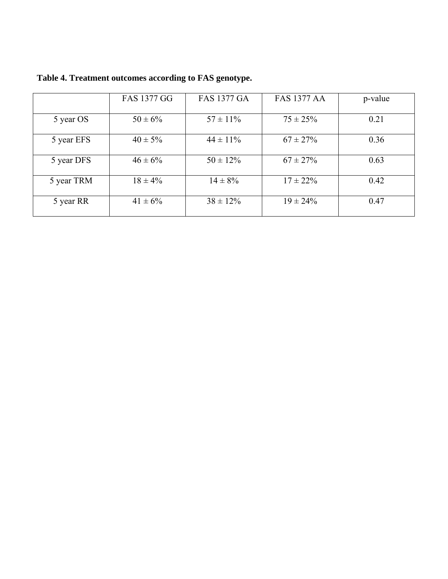|            | <b>FAS 1377 GG</b> | <b>FAS 1377 GA</b> | <b>FAS 1377 AA</b> | p-value |
|------------|--------------------|--------------------|--------------------|---------|
|            |                    |                    |                    |         |
| 5 year OS  | $50 \pm 6\%$       | $57 \pm 11\%$      | $75 \pm 25\%$      | 0.21    |
|            |                    |                    |                    |         |
| 5 year EFS | $40 \pm 5\%$       | $44 \pm 11\%$      | $67 \pm 27\%$      | 0.36    |
|            |                    |                    |                    |         |
| 5 year DFS | $46 \pm 6\%$       | $50 \pm 12\%$      | $67 \pm 27\%$      | 0.63    |
|            |                    |                    |                    |         |
| 5 year TRM | $18 \pm 4\%$       | $14 \pm 8\%$       | $17 \pm 22\%$      | 0.42    |
|            |                    |                    |                    |         |
| 5 year RR  | $41 \pm 6\%$       | $38 \pm 12\%$      | $19 \pm 24\%$      | 0.47    |
|            |                    |                    |                    |         |

**Table 4. Treatment outcomes according to FAS genotype.**